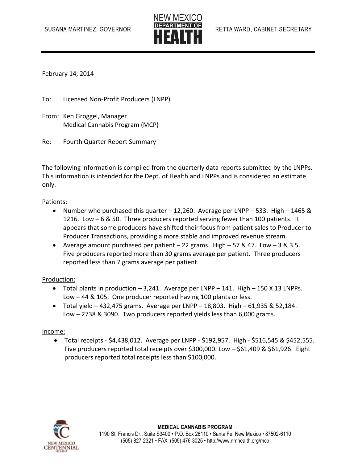

February 14, 2014

To: Licensed Non-Profit Producers (LNPP)

- From: Ken Groggel, Manager Medical Cannabis Program (MCP)
- Re: Fourth Quarter Report Summary

The following information is compiled from the quarterly data reports submitted by the LNPPs. This information is intended for the Dept. of Health and LNPPs and is considered an estimate only.

### Patients:

- Number who purchased this quarter 12,260. Average per LNPP 533. High 1465 & 1216. Low – 6 & 50. Three producers reported serving fewer than 100 patients. It appears that some producers have shifted their focus from patient sales to Producer to Producer Transactions, providing a more stable and improved revenue stream.
- Average amount purchased per patient  $-22$  grams. High  $-57 & 47$ . Low  $-3 & 3.5$ . Five producers reported more than 30 grams average per patient. Three producers reported less than 7 grams average per patient.

#### Production:

- Total plants in production  $-3,241$ . Average per LNPP  $-141$ . High  $-150$  X 13 LNPPs. Low – 44 & 105. One producer reported having 100 plants or less.
- $\bullet$  Total yield 432,475 grams. Average per LNPP 18,803. High 61,935 & 52,184. Low – 2738 & 3090. Two producers reported yields less than 6,000 grams.

#### Income:

 Total receipts - \$4,438,012. Average per LNPP - \$192,957. High - \$516,545 & \$452,555. Five producers reported total receipts over \$300,000. Low – \$61,409 & \$61,926. Eight producers reported total receipts less than \$100,000.